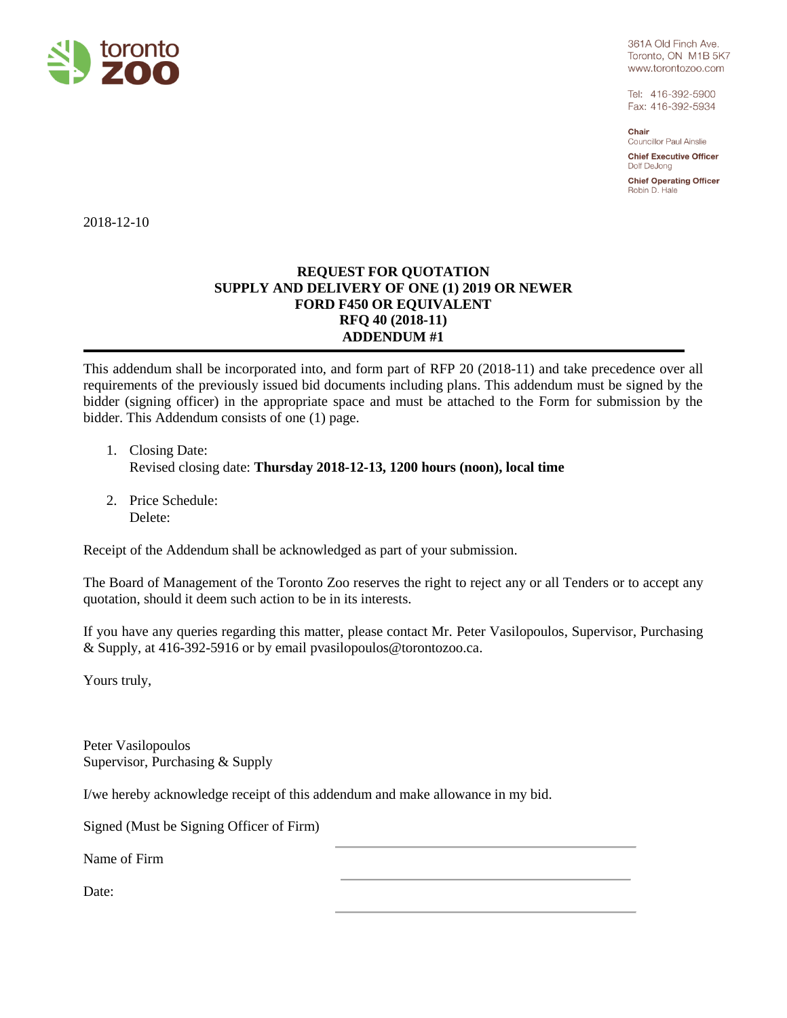

361A Old Finch Ave. Toronto, ON M1B 5K7 www.torontozoo.com

Tel: 416-392-5900 Fax: 416-392-5934

Chair **Councillor Paul Ainslie** 

**Chief Executive Officer** Dolf DeJong

**Chief Operating Officer** Robin D. Hale

2018-12-10

## **REQUEST FOR QUOTATION SUPPLY AND DELIVERY OF ONE (1) 2019 OR NEWER FORD F450 OR EQUIVALENT RFQ 40 (2018-11) ADDENDUM #1**

This addendum shall be incorporated into, and form part of RFP 20 (2018-11) and take precedence over all requirements of the previously issued bid documents including plans. This addendum must be signed by the bidder (signing officer) in the appropriate space and must be attached to the Form for submission by the bidder. This Addendum consists of one (1) page.

- 1. Closing Date: Revised closing date: **Thursday 2018-12-13, 1200 hours (noon), local time**
- 2. Price Schedule: Delete:

Receipt of the Addendum shall be acknowledged as part of your submission.

The Board of Management of the Toronto Zoo reserves the right to reject any or all Tenders or to accept any quotation, should it deem such action to be in its interests.

If you have any queries regarding this matter, please contact Mr. Peter Vasilopoulos, Supervisor, Purchasing & Supply, at 416-392-5916 or by email pvasilopoulos@torontozoo.ca.

Yours truly,

Peter Vasilopoulos Supervisor, Purchasing & Supply

I/we hereby acknowledge receipt of this addendum and make allowance in my bid.

Signed (Must be Signing Officer of Firm)

Name of Firm

Date: